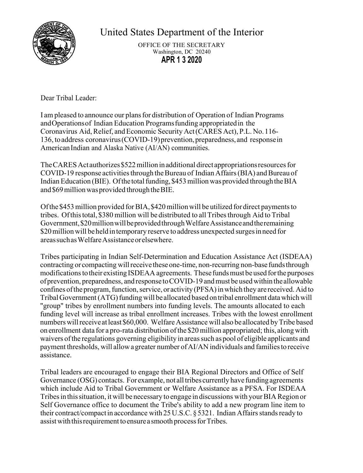

United States Department of the Interior

OFFICE OF THE SECRETARY Washington, DC 20240 **APR 1 3 2020**

Dear Tribal Leader:

I am pleased to announce our plansfor distribution of Operation of Indian Programs andOperationsof Indian Education Programsfunding appropriatedin the Coronavirus Aid, Relief, and Economic Security Act (CARES Act), P.L. No. 116-136, toaddress coronavirus(COVID-19)prevention,preparedness, and responsein American Indian and Alaska Native (AI/AN) communities.

The CARES Act authorizes \$522 million in additional direct appropriations resources for COVID-19 response activities through the Bureau of Indian Affairs (BIA) and Bureau of Indian Education (BIE). Of the total funding, \$453 million was provided through the BIA and \$69 million was provided through the BIE.

Ofthe\$453million provided forBIA,\$420millionwill be utilized for direct paymentsto tribes. Of this total, \$380 million will be distributed to all Tribes through Aid to Tribal Government,\$20millionwillbeprovidedthroughWelfareAssistanceandtheremaining \$20 million will be held in temporary reserve to address unexpected surges in need for areassuchasWelfareAssistanceorelsewhere.

Tribes participating in Indian Self-Determination and Education Assistance Act (ISDEAA) contracting or compacting willreceive theseone-time, non-recurring non-base fundsthrough modifications to their existing ISDEAA agreements. These funds must be used for the purposes ofprevention, preparedness, andresponse toCOVID-19 andmust beusedwithinthe allowable confines of the program, function, service, or activity (PFSA) in which they are received. Aid to Tribal Government (ATG) funding will be allocated based on tribal enrollment data which will "group" tribes by enrollment numbers into funding levels. The amounts allocated to each funding level will increase as tribal enrollment increases. Tribes with the lowest enrollment numbers will receive at least \$60,000. Welfare Assistance will also be allocated by Tribe based on enrollment data for a pro-rata distribution ofthe \$20 million appropriated; this, along with waivers of the regulations governing eligibility in areas such as pool of eligible applicants and payment thresholds, will allow a greater number of AI/AN individuals and families to receive assistance.

Tribal leaders are encouraged to engage their BIA Regional Directors and Office of Self Governance (OSG) contacts. For example, not alltribes currently have funding agreements which include Aid to Tribal Government or Welfare Assistance as a PFSA. For ISDEAA Tribes in this situation, it will be necessary to engage in discussions with your BIA Region or Self Governance office to document the Tribe's ability to add a new program line item to their contract/compact in accordance with  $25$  U.S.C.  $85321$ . Indian Affairs stands ready to assist with this requirement to ensure a smooth process for Tribes.